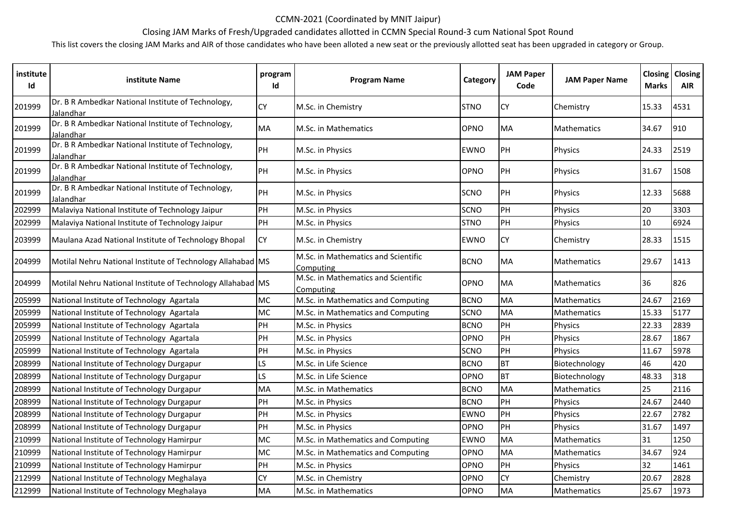## CCMN-2021 (Coordinated by MNIT Jaipur)

## Closing JAM Marks of Fresh/Upgraded candidates allotted in CCMN Special Round-3 cum National Spot Round

This list covers the closing JAM Marks and AIR of those candidates who have been alloted a new seat or the previously allotted seat has been upgraded in category or Group.

| institute<br>Id | institute Name                                                  | program<br>Id | <b>Program Name</b>                              | Category    | <b>JAM Paper</b><br>Code | <b>JAM Paper Name</b> | <b>Closing</b><br><b>Marks</b> | Closing<br><b>AIR</b> |
|-----------------|-----------------------------------------------------------------|---------------|--------------------------------------------------|-------------|--------------------------|-----------------------|--------------------------------|-----------------------|
| 201999          | Dr. B R Ambedkar National Institute of Technology,<br>Jalandhar | CΥ            | M.Sc. in Chemistry                               | <b>STNO</b> | <b>CY</b>                | Chemistry             | 15.33                          | 4531                  |
| 201999          | Dr. B R Ambedkar National Institute of Technology,<br>Jalandhar | <b>MA</b>     | M.Sc. in Mathematics                             | OPNO        | <b>MA</b>                | <b>Mathematics</b>    | 34.67                          | 910                   |
| 201999          | Dr. B R Ambedkar National Institute of Technology,<br>Jalandhar | PH            | M.Sc. in Physics                                 | <b>EWNO</b> | PH                       | Physics               | 24.33                          | 2519                  |
| 201999          | Dr. B R Ambedkar National Institute of Technology,<br>Jalandhar | PH            | M.Sc. in Physics                                 | OPNO        | PH                       | Physics               | 31.67                          | 1508                  |
| 201999          | Dr. B R Ambedkar National Institute of Technology,<br>Jalandhar | PH            | M.Sc. in Physics                                 | SCNO        | <b>PH</b>                | Physics               | 12.33                          | 5688                  |
| 202999          | Malaviya National Institute of Technology Jaipur                | PH            | M.Sc. in Physics                                 | <b>SCNO</b> | PH                       | Physics               | 20                             | 3303                  |
| 202999          | Malaviya National Institute of Technology Jaipur                | PH            | M.Sc. in Physics                                 | <b>STNO</b> | PH                       | Physics               | 10                             | 6924                  |
| 203999          | Maulana Azad National Institute of Technology Bhopal            | <b>CY</b>     | M.Sc. in Chemistry                               | <b>EWNO</b> | <b>CY</b>                | Chemistry             | 28.33                          | 1515                  |
| 204999          | Motilal Nehru National Institute of Technology Allahabad MS     |               | M.Sc. in Mathematics and Scientific<br>Computing | <b>BCNO</b> | <b>MA</b>                | <b>Mathematics</b>    | 29.67                          | 1413                  |
| 204999          | Motilal Nehru National Institute of Technology Allahabad MS     |               | M.Sc. in Mathematics and Scientific<br>Computing | OPNO        | MA                       | <b>Mathematics</b>    | 36                             | 826                   |
| 205999          | National Institute of Technology Agartala                       | МC            | M.Sc. in Mathematics and Computing               | <b>BCNO</b> | <b>MA</b>                | Mathematics           | 24.67                          | 2169                  |
| 205999          | National Institute of Technology Agartala                       | <b>MC</b>     | M.Sc. in Mathematics and Computing               | SCNO        | <b>MA</b>                | Mathematics           | 15.33                          | 5177                  |
| 205999          | National Institute of Technology Agartala                       | PH            | M.Sc. in Physics                                 | <b>BCNO</b> | PH                       | Physics               | 22.33                          | 2839                  |
| 205999          | National Institute of Technology Agartala                       | PH            | M.Sc. in Physics                                 | OPNO        | PH                       | Physics               | 28.67                          | 1867                  |
| 205999          | National Institute of Technology Agartala                       | PH            | M.Sc. in Physics                                 | SCNO        | PH                       | Physics               | 11.67                          | 5978                  |
| 208999          | National Institute of Technology Durgapur                       | S             | M.Sc. in Life Science                            | <b>BCNO</b> | <b>BT</b>                | Biotechnology         | 46                             | 420                   |
| 208999          | National Institute of Technology Durgapur                       | LS            | M.Sc. in Life Science                            | OPNO        | <b>BT</b>                | Biotechnology         | 48.33                          | 318                   |
| 208999          | National Institute of Technology Durgapur                       | MA            | M.Sc. in Mathematics                             | <b>BCNO</b> | MA                       | <b>Mathematics</b>    | 25                             | 2116                  |
| 208999          | National Institute of Technology Durgapur                       | PH            | M.Sc. in Physics                                 | <b>BCNO</b> | PH                       | <b>Physics</b>        | 24.67                          | 2440                  |
| 208999          | National Institute of Technology Durgapur                       | PH            | M.Sc. in Physics                                 | EWNO        | PH                       | Physics               | 22.67                          | 2782                  |
| 208999          | National Institute of Technology Durgapur                       | PH            | M.Sc. in Physics                                 | OPNO        | PH                       | Physics               | 31.67                          | 1497                  |
| 210999          | National Institute of Technology Hamirpur                       | <b>MC</b>     | M.Sc. in Mathematics and Computing               | EWNO        | <b>MA</b>                | Mathematics           | 31                             | 1250                  |
| 210999          | National Institute of Technology Hamirpur                       | <b>MC</b>     | M.Sc. in Mathematics and Computing               | OPNO        | MA                       | Mathematics           | 34.67                          | 924                   |
| 210999          | National Institute of Technology Hamirpur                       | PH            | M.Sc. in Physics                                 | OPNO        | PH                       | Physics               | 32                             | 1461                  |
| 212999          | National Institute of Technology Meghalaya                      | <b>CY</b>     | M.Sc. in Chemistry                               | OPNO        | <b>CY</b>                | Chemistry             | 20.67                          | 2828                  |
| 212999          | National Institute of Technology Meghalaya                      | <b>MA</b>     | M.Sc. in Mathematics                             | OPNO        | <b>MA</b>                | <b>Mathematics</b>    | 25.67                          | 1973                  |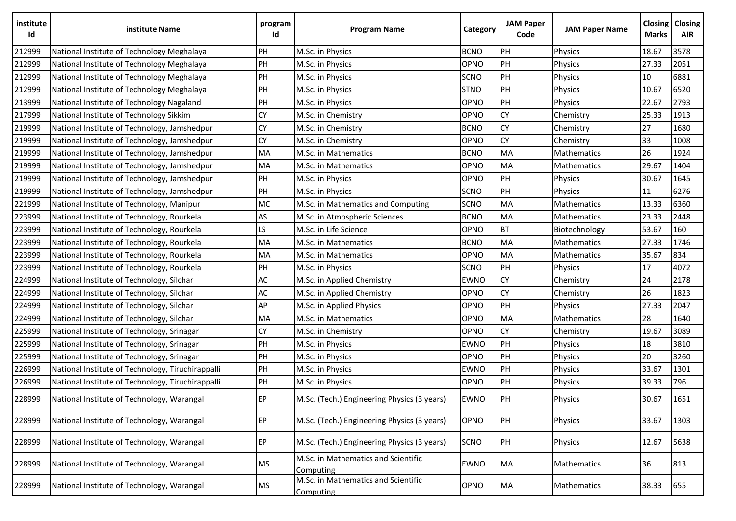| institute<br>Id | institute Name                                    | program<br>Id | <b>Program Name</b>                              | Category    | <b>JAM Paper</b><br>Code | <b>JAM Paper Name</b> | Closing<br><b>Marks</b> | Closing<br><b>AIR</b> |
|-----------------|---------------------------------------------------|---------------|--------------------------------------------------|-------------|--------------------------|-----------------------|-------------------------|-----------------------|
| 212999          | National Institute of Technology Meghalaya        | PH            | M.Sc. in Physics                                 | <b>BCNO</b> | PH                       | Physics               | 18.67                   | 3578                  |
| 212999          | National Institute of Technology Meghalaya        | PH            | M.Sc. in Physics                                 | OPNO        | PH                       | Physics               | 27.33                   | 2051                  |
| 212999          | National Institute of Technology Meghalaya        | PH            | M.Sc. in Physics                                 | SCNO        | PH                       | Physics               | 10                      | 6881                  |
| 212999          | National Institute of Technology Meghalaya        | PH            | M.Sc. in Physics                                 | <b>STNO</b> | PH                       | Physics               | 10.67                   | 6520                  |
| 213999          | National Institute of Technology Nagaland         | PH            | M.Sc. in Physics                                 | OPNO        | PH                       | Physics               | 22.67                   | 2793                  |
| 217999          | National Institute of Technology Sikkim           | CY            | M.Sc. in Chemistry                               | OPNO        | <b>CY</b>                | Chemistry             | 25.33                   | 1913                  |
| 219999          | National Institute of Technology, Jamshedpur      | СY            | M.Sc. in Chemistry                               | <b>BCNO</b> | <b>CY</b>                | Chemistry             | 27                      | 1680                  |
| 219999          | National Institute of Technology, Jamshedpur      | CY            | M.Sc. in Chemistry                               | OPNO        | ${\sf CY}$               | Chemistry             | 33                      | 1008                  |
| 219999          | National Institute of Technology, Jamshedpur      | MA            | M.Sc. in Mathematics                             | <b>BCNO</b> | MA                       | Mathematics           | 26                      | 1924                  |
| 219999          | National Institute of Technology, Jamshedpur      | MA            | M.Sc. in Mathematics                             | OPNO        | <b>MA</b>                | Mathematics           | 29.67                   | 1404                  |
| 219999          | National Institute of Technology, Jamshedpur      | PH            | M.Sc. in Physics                                 | OPNO        | PH                       | Physics               | 30.67                   | 1645                  |
| 219999          | National Institute of Technology, Jamshedpur      | PH            | M.Sc. in Physics                                 | SCNO        | PH                       | Physics               | 11                      | 6276                  |
| 221999          | National Institute of Technology, Manipur         | MC            | M.Sc. in Mathematics and Computing               | SCNO        | MA                       | Mathematics           | 13.33                   | 6360                  |
| 223999          | National Institute of Technology, Rourkela        | AS            | M.Sc. in Atmospheric Sciences                    | <b>BCNO</b> | <b>MA</b>                | Mathematics           | 23.33                   | 2448                  |
| 223999          | National Institute of Technology, Rourkela        | LS.           | M.Sc. in Life Science                            | OPNO        | <b>BT</b>                | Biotechnology         | 53.67                   | 160                   |
| 223999          | National Institute of Technology, Rourkela        | MA            | M.Sc. in Mathematics                             | <b>BCNO</b> | MA                       | Mathematics           | 27.33                   | 1746                  |
| 223999          | National Institute of Technology, Rourkela        | MA            | M.Sc. in Mathematics                             | OPNO        | MA                       | <b>Mathematics</b>    | 35.67                   | 834                   |
| 223999          | National Institute of Technology, Rourkela        | PH            | M.Sc. in Physics                                 | SCNO        | PH                       | Physics               | 17                      | 4072                  |
| 224999          | National Institute of Technology, Silchar         | AC            | M.Sc. in Applied Chemistry                       | <b>EWNO</b> | <b>CY</b>                | Chemistry             | 24                      | 2178                  |
| 224999          | National Institute of Technology, Silchar         | AC            | M.Sc. in Applied Chemistry                       | OPNO        | <b>CY</b>                | Chemistry             | 26                      | 1823                  |
| 224999          | National Institute of Technology, Silchar         | AP            | M.Sc. in Applied Physics                         | OPNO        | PH                       | Physics               | 27.33                   | 2047                  |
| 224999          | National Institute of Technology, Silchar         | MA            | M.Sc. in Mathematics                             | OPNO        | <b>MA</b>                | Mathematics           | 28                      | 1640                  |
| 225999          | National Institute of Technology, Srinagar        | СY            | M.Sc. in Chemistry                               | OPNO        | ${\sf CY}$               | Chemistry             | 19.67                   | 3089                  |
| 225999          | National Institute of Technology, Srinagar        | PH            | M.Sc. in Physics                                 | <b>EWNO</b> | PH                       | Physics               | 18                      | 3810                  |
| 225999          | National Institute of Technology, Srinagar        | PH            | M.Sc. in Physics                                 | OPNO        | PH                       | Physics               | 20                      | 3260                  |
| 226999          | National Institute of Technology, Tiruchirappalli | PH            | M.Sc. in Physics                                 | EWNO        | PH                       | Physics               | 33.67                   | 1301                  |
| 226999          | National Institute of Technology, Tiruchirappalli | PH            | M.Sc. in Physics                                 | OPNO        | PH                       | Physics               | 39.33                   | 796                   |
| 228999          | National Institute of Technology, Warangal        | EP            | M.Sc. (Tech.) Engineering Physics (3 years)      | <b>EWNO</b> | PH                       | Physics               | 30.67                   | 1651                  |
| 228999          | National Institute of Technology, Warangal        | EP            | M.Sc. (Tech.) Engineering Physics (3 years)      | OPNO        | PH                       | Physics               | 33.67                   | 1303                  |
| 228999          | National Institute of Technology, Warangal        | EP            | M.Sc. (Tech.) Engineering Physics (3 years)      | SCNO        | PH                       | Physics               | 12.67                   | 5638                  |
| 228999          | National Institute of Technology, Warangal        | MS            | M.Sc. in Mathematics and Scientific<br>Computing | EWNO        | MA                       | Mathematics           | 36                      | 813                   |
| 228999          | National Institute of Technology, Warangal        | <b>MS</b>     | M.Sc. in Mathematics and Scientific<br>Computing | OPNO        | MA                       | Mathematics           | 38.33                   | 655                   |